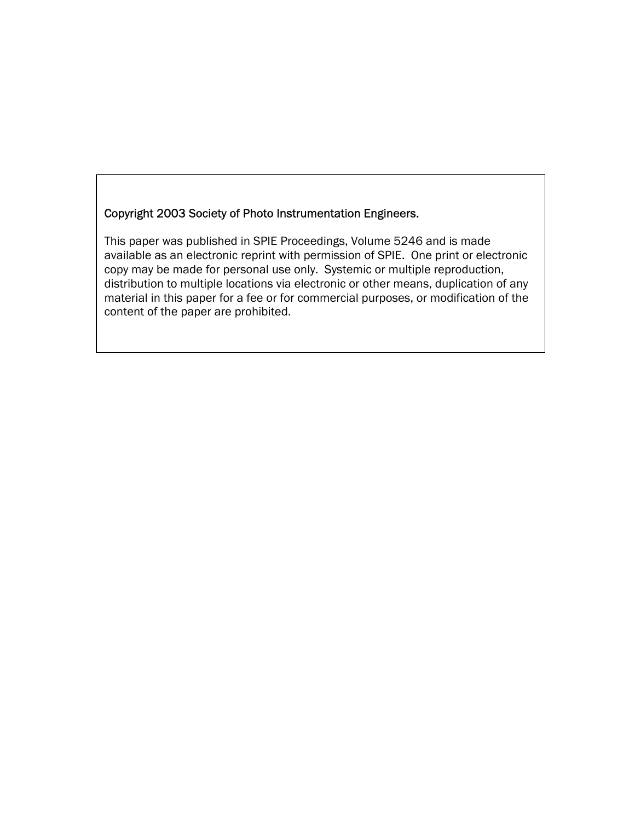## Copyright 2003 Society of Photo Instrumentation Engineers.

This paper was published in SPIE Proceedings, Volume 5246 and is made available as an electronic reprint with permission of SPIE. One print or electronic copy may be made for personal use only. Systemic or multiple reproduction, distribution to multiple locations via electronic or other means, duplication of any material in this paper for a fee or for commercial purposes, or modification of the content of the paper are prohibited.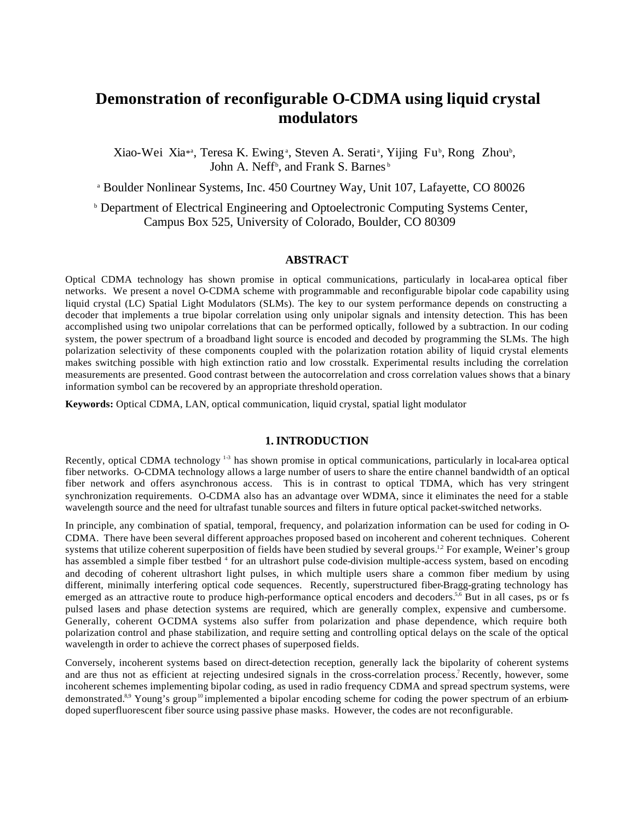# **Demonstration of reconfigurable O-CDMA using liquid crystal modulators**

Xiao-Wei Xia<sup>\*</sup>, Teresa K. Ewing<sup>a</sup>, Steven A. Serati<sup>a</sup>, Yijing Fu<sup>b</sup>, Rong Zhou<sup>b</sup>, John A. Neff<sup>b</sup>, and Frank S. Barnes<sup>b</sup>

a Boulder Nonlinear Systems, Inc. 450 Courtney Way, Unit 107, Lafayette, CO 80026

**b** Department of Electrical Engineering and Optoelectronic Computing Systems Center, Campus Box 525, University of Colorado, Boulder, CO 80309

### **ABSTRACT**

Optical CDMA technology has shown promise in optical communications, particularly in local-area optical fiber networks. We present a novel O-CDMA scheme with programmable and reconfigurable bipolar code capability using liquid crystal (LC) Spatial Light Modulators (SLMs). The key to our system performance depends on constructing a decoder that implements a true bipolar correlation using only unipolar signals and intensity detection. This has been accomplished using two unipolar correlations that can be performed optically, followed by a subtraction. In our coding system, the power spectrum of a broadband light source is encoded and decoded by programming the SLMs. The high polarization selectivity of these components coupled with the polarization rotation ability of liquid crystal elements makes switching possible with high extinction ratio and low crosstalk. Experimental results including the correlation measurements are presented. Good contrast between the autocorrelation and cross correlation values shows that a binary information symbol can be recovered by an appropriate threshold operation.

**Keywords:** Optical CDMA, LAN, optical communication, liquid crystal, spatial light modulator

## **1. INTRODUCTION**

Recently, optical CDMA technology<sup>13</sup> has shown promise in optical communications, particularly in local-area optical fiber networks. O-CDMA technology allows a large number of users to share the entire channel bandwidth of an optical fiber network and offers asynchronous access. This is in contrast to optical TDMA, which has very stringent synchronization requirements. O-CDMA also has an advantage over WDMA, since it eliminates the need for a stable wavelength source and the need for ultrafast tunable sources and filters in future optical packet-switched networks.

In principle, any combination of spatial, temporal, frequency, and polarization information can be used for coding in O-CDMA. There have been several different approaches proposed based on incoherent and coherent techniques. Coherent systems that utilize coherent superposition of fields have been studied by several groups.<sup>12</sup> For example, Weiner's group has assembled a simple fiber testbed <sup>4</sup> for an ultrashort pulse code-division multiple-access system, based on encoding and decoding of coherent ultrashort light pulses, in which multiple users share a common fiber medium by using different, minimally interfering optical code sequences. Recently, superstructured fiber-Bragg-grating technology has emerged as an attractive route to produce high-performance optical encoders and decoders.<sup>5,6</sup> But in all cases, ps or fs pulsed lasers and phase detection systems are required, which are generally complex, expensive and cumbersome. Generally, coherent O-CDMA systems also suffer from polarization and phase dependence, which require both polarization control and phase stabilization, and require setting and controlling optical delays on the scale of the optical wavelength in order to achieve the correct phases of superposed fields.

Conversely, incoherent systems based on direct-detection reception, generally lack the bipolarity of coherent systems and are thus not as efficient at rejecting undesired signals in the cross-correlation process.<sup>7</sup>Recently, however, some incoherent schemes implementing bipolar coding, as used in radio frequency CDMA and spread spectrum systems, were demonstrated.<sup>8,9</sup> Young's group<sup>10</sup> implemented a bipolar encoding scheme for coding the power spectrum of an erbiumdoped superfluorescent fiber source using passive phase masks. However, the codes are not reconfigurable.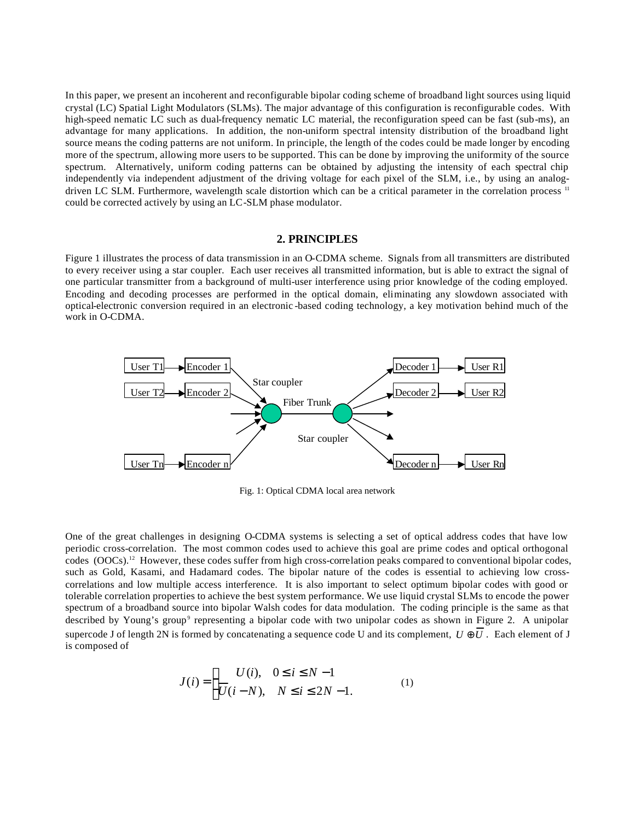In this paper, we present an incoherent and reconfigurable bipolar coding scheme of broadband light sources using liquid crystal (LC) Spatial Light Modulators (SLMs). The major advantage of this configuration is reconfigurable codes. With high-speed nematic LC such as dual-frequency nematic LC material, the reconfiguration speed can be fast (sub-ms), an advantage for many applications. In addition, the non-uniform spectral intensity distribution of the broadband light source means the coding patterns are not uniform. In principle, the length of the codes could be made longer by encoding more of the spectrum, allowing more users to be supported. This can be done by improving the uniformity of the source spectrum. Alternatively, uniform coding patterns can be obtained by adjusting the intensity of each spectral chip independently via independent adjustment of the driving voltage for each pixel of the SLM, i.e., by using an analogdriven LC SLM. Furthermore, wavelength scale distortion which can be a critical parameter in the correlation process <sup>11</sup> could be corrected actively by using an LC-SLM phase modulator.

## **2. PRINCIPLES**

Figure 1 illustrates the process of data transmission in an O-CDMA scheme. Signals from all transmitters are distributed to every receiver using a star coupler. Each user receives all transmitted information, but is able to extract the signal of one particular transmitter from a background of multi-user interference using prior knowledge of the coding employed. Encoding and decoding processes are performed in the optical domain, eliminating any slowdown associated with optical-electronic conversion required in an electronic -based coding technology, a key motivation behind much of the work in O-CDMA.



Fig. 1: Optical CDMA local area network

One of the great challenges in designing O-CDMA systems is selecting a set of optical address codes that have low periodic cross-correlation. The most common codes used to achieve this goal are prime codes and optical orthogonal codes  $(OOCs)$ .<sup>12</sup> However, these codes suffer from high cross-correlation peaks compared to conventional bipolar codes, such as Gold, Kasami, and Hadamard codes. The bipolar nature of the codes is essential to achieving low crosscorrelations and low multiple access interference. It is also important to select optimum bipolar codes with good or tolerable correlation properties to achieve the best system performance. We use liquid crystal SLMs to encode the power spectrum of a broadband source into bipolar Walsh codes for data modulation. The coding principle is the same as that described by Young's group<sup>9</sup> representing a bipolar code with two unipolar codes as shown in Figure 2. A unipolar supercode J of length 2N is formed by concatenating a sequence code U and its complement,  $U \oplus U$ . Each element of J is composed of

$$
J(i) = \begin{cases} U(i), & 0 \le i \le N - 1 \\ \overline{U}(i - N), & N \le i \le 2N - 1. \end{cases}
$$
 (1)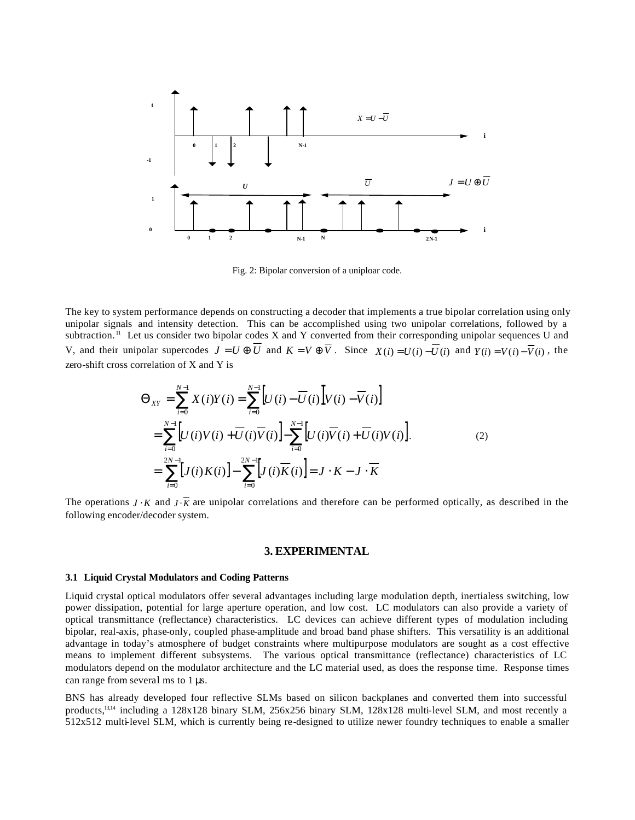

Fig. 2: Bipolar conversion of a uniploar code.

The key to system performance depends on constructing a decoder that implements a true bipolar correlation using only unipolar signals and intensity detection. This can be accomplished using two unipolar correlations, followed by a subtraction.<sup>11</sup> Let us consider two bipolar codes X and Y converted from their corresponding unipolar sequences U and V, and their unipolar supercodes  $J = U \oplus \overline{U}$  and  $K = V \oplus \overline{V}$ . Since  $X(i) = U(i) - \overline{U}(i)$  and  $Y(i) = V(i) - \overline{V}(i)$ , the zero-shift cross correlation of X and Y is

$$
\Theta_{XY} = \sum_{i=0}^{N-1} X(i)Y(i) = \sum_{i=0}^{N-1} [U(i) - \overline{U}(i)]V(i) - \overline{V}(i)]
$$
  
\n
$$
= \sum_{i=0}^{N-1} [U(i)V(i) + \overline{U}(i)\overline{V}(i)] - \sum_{i=0}^{N-1} [U(i)\overline{V}(i) + \overline{U}(i)V(i)].
$$
  
\n
$$
= \sum_{i=0}^{2N-1} [J(i)K(i)] - \sum_{i=0}^{2N-1} [J(i)\overline{K}(i)] = J \cdot K - J \cdot \overline{K}
$$
 (2)

The operations *J* ⋅ *K* and *J* ⋅  $\overline{K}$  are unipolar correlations and therefore can be performed optically, as described in the following encoder/decoder system.

#### **3. EXPERIMENTAL**

#### **3.1 Liquid Crystal Modulators and Coding Patterns**

Liquid crystal optical modulators offer several advantages including large modulation depth, inertialess switching, low power dissipation, potential for large aperture operation, and low cost. LC modulators can also provide a variety of optical transmittance (reflectance) characteristics. LC devices can achieve different types of modulation including bipolar, real-axis, phase-only, coupled phase-amplitude and broad band phase shifters. This versatility is an additional advantage in today's atmosphere of budget constraints where multipurpose modulators are sought as a cost effective means to implement different subsystems. The various optical transmittance (reflectance) characteristics of LC modulators depend on the modulator architecture and the LC material used, as does the response time. Response times can range from several ms to 1 μs.

BNS has already developed four reflective SLMs based on silicon backplanes and converted them into successful products,13,14 including a 128x128 binary SLM, 256x256 binary SLM, 128x128 multi-level SLM, and most recently a 512x512 multi-level SLM, which is currently being re-designed to utilize newer foundry techniques to enable a smaller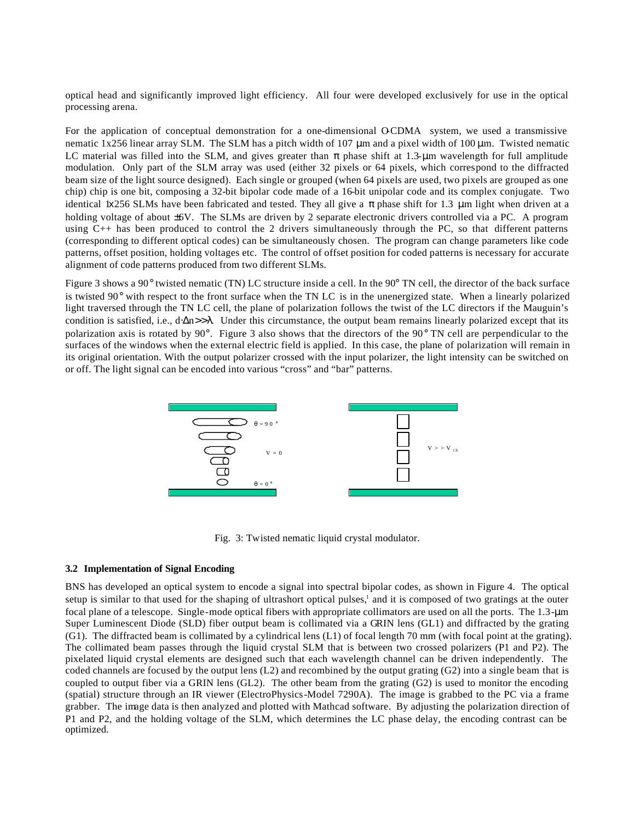optical head and significantly improved light efficiency. All four were developed exclusively for use in the optical processing arena.

For the application of conceptual demonstration for a one-dimensional OCDMA system, we used a transmissive nematic 1x256 linear array SLM. The SLM has a pitch width of 107  $\mu$ m and a pixel width of 100  $\mu$ m. Twisted nematic LC material was filled into the SLM, and gives greater than  $\pi$  phase shift at 1.3-um wavelength for full amplitude modulation. Only part of the SLM array was used (either 32 pixels or 64 pixels, which correspond to the diffracted beam size of the light source designed). Each single or grouped (when 64 pixels are used, two pixels are grouped as one chip) chip is one bit, composing a 32-bit bipolar code made of a 16-bit unipolar code and its complex conjugate. Two identical 1x256 SLMs have been fabricated and tested. They all give a  $\pi$  phase shift for 1.3 µm light when driven at a holding voltage of about  $\pm 6V$ . The SLMs are driven by 2 separate electronic drivers controlled via a PC. A program using C++ has been produced to control the 2 drivers simultaneously through the PC, so that different patterns (corresponding to different optical codes) can be simultaneously chosen. The program can change parameters like code patterns, offset position, holding voltages etc. The control of offset position for coded patterns is necessary for accurate alignment of code patterns produced from two different SLMs.

Figure 3 shows a 90° twisted nematic (TN) LC structure inside a cell. In the 90° TN cell, the director of the back surface is twisted 90° with respect to the front surface when the TN LC is in the unenergized state. When a linearly polarized light traversed through the TN LC cell, the plane of polarization follows the twist of the LC directors if the Mauguin's condition is satisfied, i.e.,  $d \Delta n >> \lambda$ . Under this circumstance, the output beam remains linearly polarized except that its polarization axis is rotated by 90 $^{\circ}$ . Figure 3 also shows that the directors of the 90 $^{\circ}$  TN cell are perpendicular to the surfaces of the windows when the external electric field is applied. In this case, the plane of polarization will remain in its original orientation. With the output polarizer crossed with the input polarizer, the light intensity can be switched on or off. The light signal can be encoded into various "cross" and "bar" patterns.



Fig. 3: Twisted nematic liquid crystal modulator.

## **3.2 Implementation of Signal Encoding**

BNS has developed an optical system to encode a signal into spectral bipolar codes, as shown in Figure 4. The optical setup is similar to that used for the shaping of ultrashort optical pulses,<sup>1</sup> and it is composed of two gratings at the outer focal plane of a telescope. Single-mode optical fibers with appropriate collimators are used on all the ports. The 1.3-μm Super Luminescent Diode (SLD) fiber output beam is collimated via a GRIN lens (GL1) and diffracted by the grating (G1). The diffracted beam is collimated by a cylindrical lens (L1) of focal length 70 mm (with focal point at the grating). The collimated beam passes through the liquid crystal SLM that is between two crossed polarizers (P1 and P2). The pixelated liquid crystal elements are designed such that each wavelength channel can be driven independently. The coded channels are focused by the output lens (L2) and recombined by the output grating (G2) into a single beam that is coupled to output fiber via a GRIN lens (GL2). The other beam from the grating  $(G2)$  is used to monitor the encoding (spatial) structure through an IR viewer (ElectroPhysics-Model 7290A). The image is grabbed to the PC via a frame grabber. The image data is then analyzed and plotted with Mathcad software. By adjusting the polarization direction of P1 and P2, and the holding voltage of the SLM, which determines the LC phase delay, the encoding contrast can be optimized.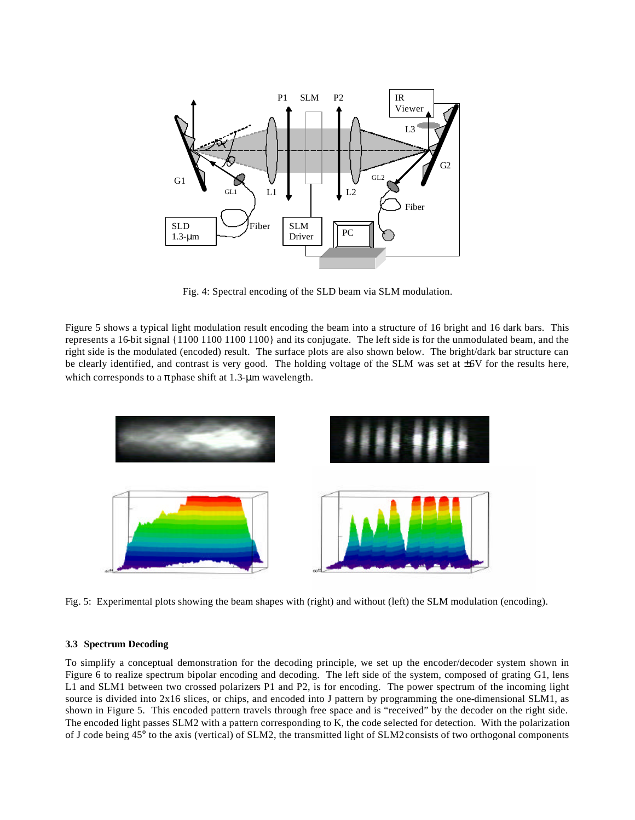

Fig. 4: Spectral encoding of the SLD beam via SLM modulation.

Figure 5 shows a typical light modulation result encoding the beam into a structure of 16 bright and 16 dark bars. This represents a 16-bit signal {1100 1100 1100 1100} and its conjugate. The left side is for the unmodulated beam, and the right side is the modulated (encoded) result. The surface plots are also shown below. The bright/dark bar structure can be clearly identified, and contrast is very good. The holding voltage of the SLM was set at  $\pm$ 6V for the results here, which corresponds to a  $\pi$  phase shift at 1.3-µm wavelength.



Fig. 5: Experimental plots showing the beam shapes with (right) and without (left) the SLM modulation (encoding).

#### **3.3 Spectrum Decoding**

To simplify a conceptual demonstration for the decoding principle, we set up the encoder/decoder system shown in Figure 6 to realize spectrum bipolar encoding and decoding. The left side of the system, composed of grating G1, lens L1 and SLM1 between two crossed polarizers P1 and P2, is for encoding. The power spectrum of the incoming light source is divided into 2x16 slices, or chips, and encoded into J pattern by programming the one-dimensional SLM1, as shown in Figure 5. This encoded pattern travels through free space and is "received" by the decoder on the right side. The encoded light passes SLM2 with a pattern corresponding to K, the code selected for detection. With the polarization of J code being 45° to the axis (vertical) of SLM2, the transmitted light of SLM2 consists of two orthogonal components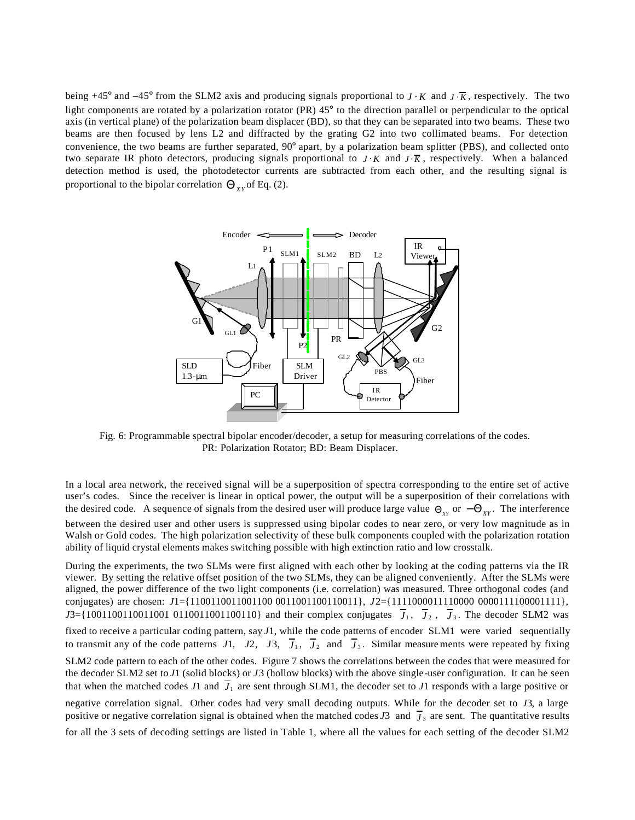being +45° and  $-45$ ° from the SLM2 axis and producing signals proportional to  $J \cdot K$  and  $J \cdot \overline{K}$ , respectively. The two light components are rotated by a polarization rotator (PR) 45° to the direction parallel or perpendicular to the optical axis (in vertical plane) of the polarization beam displacer (BD), so that they can be separated into two beams. These two beams are then focused by lens L2 and diffracted by the grating G2 into two collimated beams. For detection convenience, the two beams are further separated, 90° apart, by a polarization beam splitter (PBS), and collected onto two separate IR photo detectors, producing signals proportional to *J* ⋅ *K* and  $J \cdot \overline{K}$ , respectively. When a balanced detection method is used, the photodetector currents are subtracted from each other, and the resulting signal is proportional to the bipolar correlation  $\Theta_{XY}$  of Eq. (2).



Fig. 6: Programmable spectral bipolar encoder/decoder, a setup for measuring correlations of the codes. PR: Polarization Rotator; BD: Beam Displacer.

In a local area network, the received signal will be a superposition of spectra corresponding to the entire set of active user's codes. Since the receiver is linear in optical power, the output will be a superposition of their correlations with the desired code. A sequence of signals from the desired user will produce large value  $\Theta_{XY}$  or  $-\Theta_{XY}$ . The interference between the desired user and other users is suppressed using bipolar codes to near zero, or very low magnitude as in Walsh or Gold codes. The high polarization selectivity of these bulk components coupled with the polarization rotation ability of liquid crystal elements makes switching possible with high extinction ratio and low crosstalk.

During the experiments, the two SLMs were first aligned with each other by looking at the coding patterns via the IR viewer. By setting the relative offset position of the two SLMs, they can be aligned conveniently. After the SLMs were aligned, the power difference of the two light components (i.e. correlation) was measured. Three orthogonal codes (and conjugates) are chosen: *J*1={1100110011001100 0011001100110011}, *J*2={1111000011110000 0000111100001111},  $J3 = \{100110011001100110011001100110\}$  and their complex conjugates  $J_1$ ,  $J_2$ ,  $J_3$ . The decoder SLM2 was fixed to receive a particular coding pattern, say *J*1, while the code patterns of encoder SLM1 were varied sequentially to transmit any of the code patterns  $J1$ ,  $J2$ ,  $J3$ ,  $J_1$ ,  $J_2$  and  $J_3$ . Similar measurements were repeated by fixing SLM2 code pattern to each of the other codes. Figure 7 shows the correlations between the codes that were measured for the decoder SLM2 set to *J*1 (solid blocks) or *J*3 (hollow blocks) with the above single-user configuration. It can be seen that when the matched codes  $J_1$  and  $J_1$  are sent through SLM1, the decoder set to  $J_1$  responds with a large positive or negative correlation signal. Other codes had very small decoding outputs. While for the decoder set to *J*3, a large positive or negative correlation signal is obtained when the matched codes  $J3$  and  $\bar{J}_3$  are sent. The quantitative results for all the 3 sets of decoding settings are listed in Table 1, where all the values for each setting of the decoder SLM2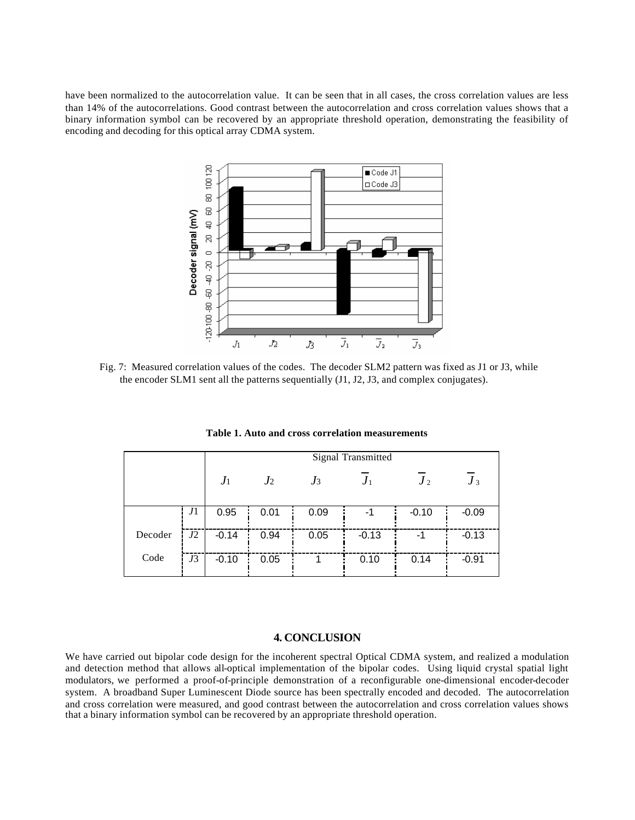have been normalized to the autocorrelation value. It can be seen that in all cases, the cross correlation values are less than 14% of the autocorrelations. Good contrast between the autocorrelation and cross correlation values shows that a binary information symbol can be recovered by an appropriate threshold operation, demonstrating the feasibility of encoding and decoding for this optical array CDMA system.



Fig. 7: Measured correlation values of the codes. The decoder SLM2 pattern was fixed as J1 or J3, while the encoder SLM1 sent all the patterns sequentially (J1, J2, J3, and complex conjugates).

|         |    | Signal Transmitted |                |       |         |         |         |
|---------|----|--------------------|----------------|-------|---------|---------|---------|
|         |    | $J_1$              | J <sub>2</sub> | $J_3$ | $J_{1}$ | $J_2$   | $J_3$   |
|         | J1 | 0.95               | 0.01           | 0.09  | -1      | $-0.10$ | $-0.09$ |
| Decoder | J2 | $-0.14$            | 0.94           | 0.05  | $-0.13$ | $-1$    | $-0.13$ |
| Code    | J3 | $-0.10$            | 0.05           |       | 0.10    | 0.14    | $-0.91$ |

**Table 1. Auto and cross correlation measurements**

## **4. CONCLUSION**

We have carried out bipolar code design for the incoherent spectral Optical CDMA system, and realized a modulation and detection method that allows all-optical implementation of the bipolar codes. Using liquid crystal spatial light modulators, we performed a proof-of-principle demonstration of a reconfigurable one-dimensional encoder-decoder system. A broadband Super Luminescent Diode source has been spectrally encoded and decoded. The autocorrelation and cross correlation were measured, and good contrast between the autocorrelation and cross correlation values shows that a binary information symbol can be recovered by an appropriate threshold operation.